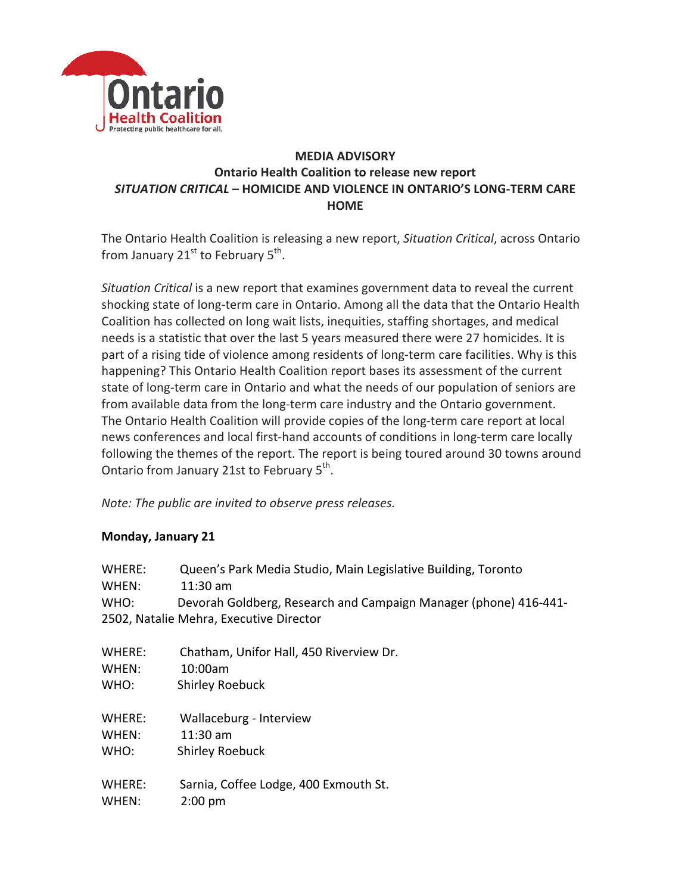

## **MEDIA ADVISORY Ontario Health Coalition to release new report** *SITUATION CRITICAL* **– HOMICIDE AND VIOLENCE IN ONTARIO'S LONG-TERM CARE HOME**

The Ontario Health Coalition is releasing a new report, *Situation Critical*, across Ontario from January  $21^{st}$  to February  $5^{th}$ .

*Situation Critical* is a new report that examines government data to reveal the current shocking state of long-term care in Ontario. Among all the data that the Ontario Health Coalition has collected on long wait lists, inequities, staffing shortages, and medical needs is a statistic that over the last 5 years measured there were 27 homicides. It is part of a rising tide of violence among residents of long-term care facilities. Why is this happening? This Ontario Health Coalition report bases its assessment of the current state of long-term care in Ontario and what the needs of our population of seniors are from available data from the long-term care industry and the Ontario government. The Ontario Health Coalition will provide copies of the long-term care report at local news conferences and local first-hand accounts of conditions in long-term care locally following the themes of the report. The report is being toured around 30 towns around Ontario from January 21st to February 5<sup>th</sup>.

*Note: The public are invited to observe press releases.* 

#### **Monday, January 21**

| WHERE:<br>WHEN:<br>WHO: | Queen's Park Media Studio, Main Legislative Building, Toronto<br>$11:30$ am<br>Devorah Goldberg, Research and Campaign Manager (phone) 416-441-<br>2502, Natalie Mehra, Executive Director |
|-------------------------|--------------------------------------------------------------------------------------------------------------------------------------------------------------------------------------------|
| WHERE:                  | Chatham, Unifor Hall, 450 Riverview Dr.                                                                                                                                                    |
| WHEN:                   | 10:00am                                                                                                                                                                                    |
| WHO:                    | <b>Shirley Roebuck</b>                                                                                                                                                                     |
| WHERE:                  | Wallaceburg - Interview                                                                                                                                                                    |
| WHEN:                   | $11:30$ am                                                                                                                                                                                 |
| WHO:                    | <b>Shirley Roebuck</b>                                                                                                                                                                     |
| WHERE:                  | Sarnia, Coffee Lodge, 400 Exmouth St.                                                                                                                                                      |
| WHEN:                   | $2:00$ pm                                                                                                                                                                                  |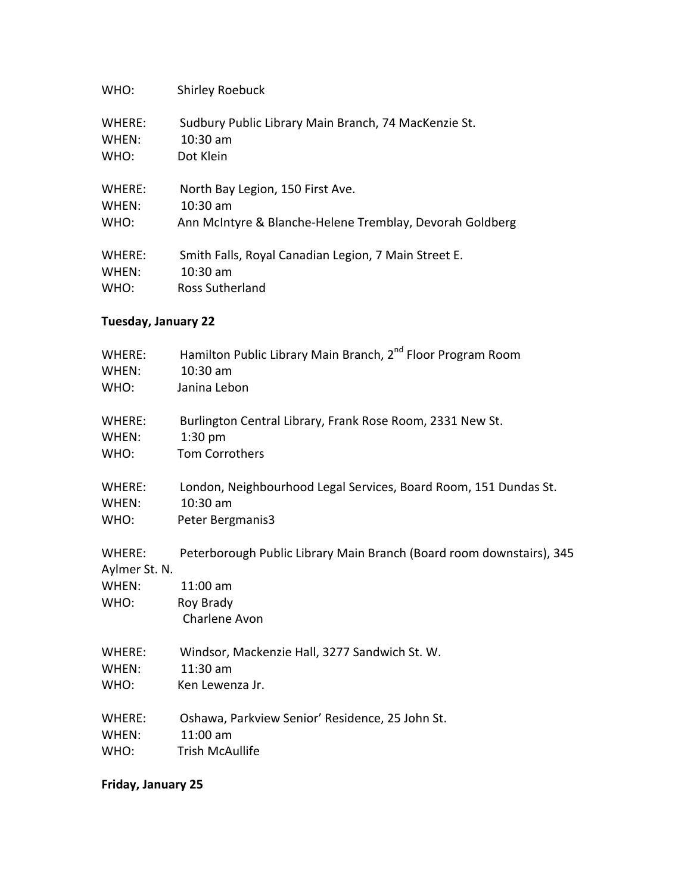| WHO:   | <b>Shirley Roebuck</b>                                   |
|--------|----------------------------------------------------------|
| WHERE: | Sudbury Public Library Main Branch, 74 MacKenzie St.     |
| WHEN:  | $10:30$ am                                               |
| WHO:   | Dot Klein                                                |
| WHERE: | North Bay Legion, 150 First Ave.                         |
| WHEN:  | $10:30 \text{ am}$                                       |
| WHO:   | Ann McIntyre & Blanche-Helene Tremblay, Devorah Goldberg |
| WHERE: | Smith Falls, Royal Canadian Legion, 7 Main Street E.     |
| WHEN:  | $10:30$ am                                               |
| WHO:   | Ross Sutherland                                          |

### **Tuesday, January 22**

| WHERE:<br>WHEN: | Hamilton Public Library Main Branch, 2 <sup>nd</sup> Floor Program Room<br>$10:30$ am |
|-----------------|---------------------------------------------------------------------------------------|
| WHO:            | Janina Lebon                                                                          |
| WHERE:          | Burlington Central Library, Frank Rose Room, 2331 New St.                             |
| WHEN:           | $1:30$ pm                                                                             |
| WHO:            | Tom Corrothers                                                                        |
| WHERE:          | London, Neighbourhood Legal Services, Board Room, 151 Dundas St.                      |
| WHEN:           | 10:30 am                                                                              |
| WHO:            | Peter Bergmanis3                                                                      |
| WHERE:          | Peterborough Public Library Main Branch (Board room downstairs), 345                  |
| Aylmer St. N.   |                                                                                       |
| WHEN:           | $11:00$ am                                                                            |
| WHO:            | Roy Brady                                                                             |
|                 | Charlene Avon                                                                         |
| WHERE:          | Windsor, Mackenzie Hall, 3277 Sandwich St. W.                                         |
| WHEN:           | $11:30$ am                                                                            |
| WHO:            | Ken Lewenza Jr.                                                                       |
| WHERE:          | Oshawa, Parkview Senior' Residence, 25 John St.                                       |
| WHEN:           | $11:00$ am                                                                            |
| WHO:            | <b>Trish McAullife</b>                                                                |

**Friday, January 25**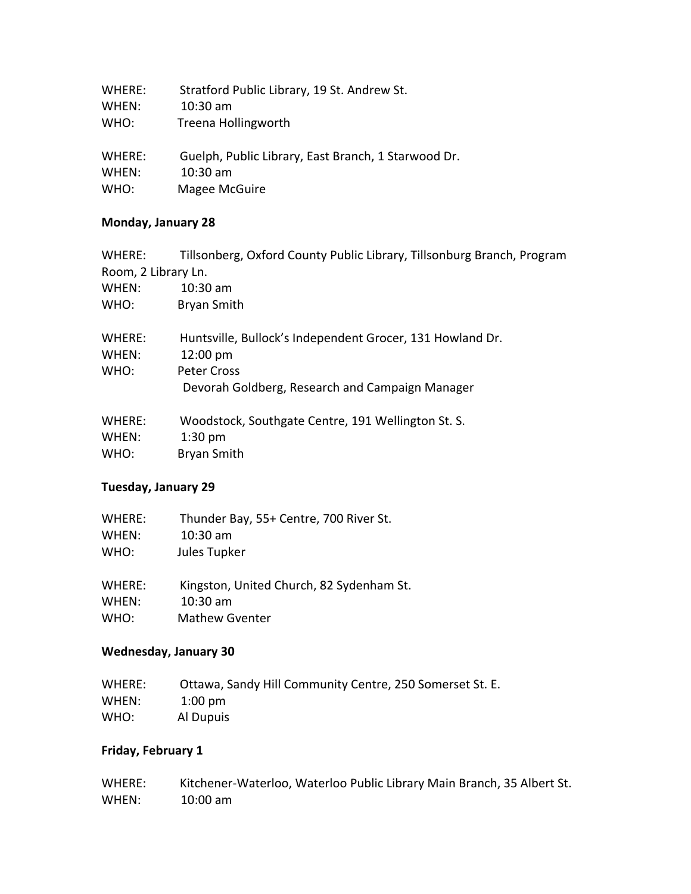| WHERE: | Stratford Public Library, 19 St. Andrew St.         |
|--------|-----------------------------------------------------|
| WHEN:  | $10:30$ am                                          |
| WHO:   | Treena Hollingworth                                 |
| WHERE: | Guelph, Public Library, East Branch, 1 Starwood Dr. |
| WHEN:  | $10:30$ am                                          |
| WHO:   | Magee McGuire                                       |

#### **Monday, January 28**

| WHERE:              | Tillsonberg, Oxford County Public Library, Tillsonburg Branch, Program |
|---------------------|------------------------------------------------------------------------|
| Room, 2 Library Ln. |                                                                        |
| WHEN:               | $10:30$ am                                                             |
| WHO:                | Bryan Smith                                                            |
| WHERE:              | Huntsville, Bullock's Independent Grocer, 131 Howland Dr.              |
| WHEN:               | $12:00 \text{ pm}$                                                     |
| WHO:                | Peter Cross                                                            |
|                     | Devorah Goldberg, Research and Campaign Manager                        |
| WHERE:              | Woodstock, Southgate Centre, 191 Wellington St. S.                     |
| WHEN:               | $1:30$ pm                                                              |
| WHO:                | <b>Bryan Smith</b>                                                     |

### **Tuesday, January 29**

| WHERE: | Thunder Bay, 55+ Centre, 700 River St. |
|--------|----------------------------------------|
| WHEN:  | $10:30$ am                             |
| WHO:   | Jules Tupker                           |

WHERE: Kingston, United Church, 82 Sydenham St. WHEN: 10:30 am WHO: Mathew Gventer

#### **Wednesday, January 30**

| WHERE: | Ottawa, Sandy Hill Community Centre, 250 Somerset St. E. |
|--------|----------------------------------------------------------|
| WHEN:  | $1:00 \text{ pm}$                                        |
| WHO:   | Al Dupuis                                                |

### **Friday, February 1**

| WHERE: | Kitchener-Waterloo, Waterloo Public Library Main Branch, 35 Albert St. |
|--------|------------------------------------------------------------------------|
| WHEN:  | 10:00 am                                                               |